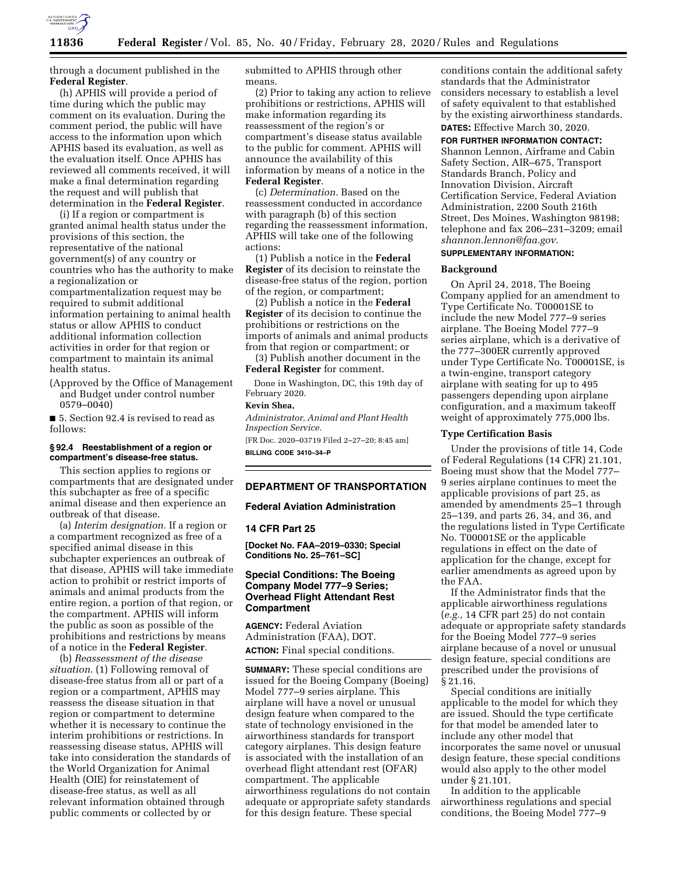

through a document published in the **Federal Register**.

(h) APHIS will provide a period of time during which the public may comment on its evaluation. During the comment period, the public will have access to the information upon which APHIS based its evaluation, as well as the evaluation itself. Once APHIS has reviewed all comments received, it will make a final determination regarding the request and will publish that determination in the **Federal Register**.

(i) If a region or compartment is granted animal health status under the provisions of this section, the representative of the national government(s) of any country or countries who has the authority to make a regionalization or compartmentalization request may be required to submit additional information pertaining to animal health status or allow APHIS to conduct additional information collection activities in order for that region or compartment to maintain its animal health status.

(Approved by the Office of Management and Budget under control number 0579–0040)

■ 5. Section 92.4 is revised to read as follows:

## **§ 92.4 Reestablishment of a region or compartment's disease-free status.**

This section applies to regions or compartments that are designated under this subchapter as free of a specific animal disease and then experience an outbreak of that disease.

(a) *Interim designation.* If a region or a compartment recognized as free of a specified animal disease in this subchapter experiences an outbreak of that disease, APHIS will take immediate action to prohibit or restrict imports of animals and animal products from the entire region, a portion of that region, or the compartment. APHIS will inform the public as soon as possible of the prohibitions and restrictions by means of a notice in the **Federal Register**.

(b) *Reassessment of the disease situation.* (1) Following removal of disease-free status from all or part of a region or a compartment, APHIS may reassess the disease situation in that region or compartment to determine whether it is necessary to continue the interim prohibitions or restrictions. In reassessing disease status, APHIS will take into consideration the standards of the World Organization for Animal Health (OIE) for reinstatement of disease-free status, as well as all relevant information obtained through public comments or collected by or

submitted to APHIS through other means.

(2) Prior to taking any action to relieve prohibitions or restrictions, APHIS will make information regarding its reassessment of the region's or compartment's disease status available to the public for comment. APHIS will announce the availability of this information by means of a notice in the **Federal Register**.

(c) *Determination.* Based on the reassessment conducted in accordance with paragraph (b) of this section regarding the reassessment information, APHIS will take one of the following actions:

(1) Publish a notice in the **Federal Register** of its decision to reinstate the disease-free status of the region, portion of the region, or compartment;

(2) Publish a notice in the **Federal Register** of its decision to continue the prohibitions or restrictions on the imports of animals and animal products from that region or compartment; or

(3) Publish another document in the **Federal Register** for comment.

Done in Washington, DC, this 19th day of February 2020.

# **Kevin Shea,**

*Administrator, Animal and Plant Health Inspection Service.* 

[FR Doc. 2020–03719 Filed 2–27–20; 8:45 am] **BILLING CODE 3410–34–P** 

## **DEPARTMENT OF TRANSPORTATION**

#### **Federal Aviation Administration**

## **14 CFR Part 25**

**[Docket No. FAA–2019–0330; Special Conditions No. 25–761–SC]** 

# **Special Conditions: The Boeing Company Model 777–9 Series; Overhead Flight Attendant Rest Compartment**

**AGENCY:** Federal Aviation Administration (FAA), DOT. **ACTION:** Final special conditions.

**SUMMARY:** These special conditions are issued for the Boeing Company (Boeing) Model 777–9 series airplane. This airplane will have a novel or unusual design feature when compared to the state of technology envisioned in the airworthiness standards for transport category airplanes. This design feature is associated with the installation of an overhead flight attendant rest (OFAR) compartment. The applicable airworthiness regulations do not contain adequate or appropriate safety standards for this design feature. These special

conditions contain the additional safety standards that the Administrator considers necessary to establish a level of safety equivalent to that established by the existing airworthiness standards. **DATES:** Effective March 30, 2020.

## **FOR FURTHER INFORMATION CONTACT:**

Shannon Lennon, Airframe and Cabin Safety Section, AIR–675, Transport Standards Branch, Policy and Innovation Division, Aircraft Certification Service, Federal Aviation Administration, 2200 South 216th Street, Des Moines, Washington 98198; telephone and fax 206–231–3209; email *[shannon.lennon@faa.gov.](mailto:shannon.lennon@faa.gov)* 

#### **SUPPLEMENTARY INFORMATION:**

#### **Background**

On April 24, 2018, The Boeing Company applied for an amendment to Type Certificate No. T00001SE to include the new Model 777–9 series airplane. The Boeing Model 777–9 series airplane, which is a derivative of the 777–300ER currently approved under Type Certificate No. T00001SE, is a twin-engine, transport category airplane with seating for up to 495 passengers depending upon airplane configuration, and a maximum takeoff weight of approximately 775,000 lbs.

### **Type Certification Basis**

Under the provisions of title 14, Code of Federal Regulations (14 CFR) 21.101, Boeing must show that the Model 777– 9 series airplane continues to meet the applicable provisions of part 25, as amended by amendments 25–1 through 25–139, and parts 26, 34, and 36, and the regulations listed in Type Certificate No. T00001SE or the applicable regulations in effect on the date of application for the change, except for earlier amendments as agreed upon by the FAA.

If the Administrator finds that the applicable airworthiness regulations (*e.g.,* 14 CFR part 25) do not contain adequate or appropriate safety standards for the Boeing Model 777–9 series airplane because of a novel or unusual design feature, special conditions are prescribed under the provisions of § 21.16.

Special conditions are initially applicable to the model for which they are issued. Should the type certificate for that model be amended later to include any other model that incorporates the same novel or unusual design feature, these special conditions would also apply to the other model under § 21.101.

In addition to the applicable airworthiness regulations and special conditions, the Boeing Model 777–9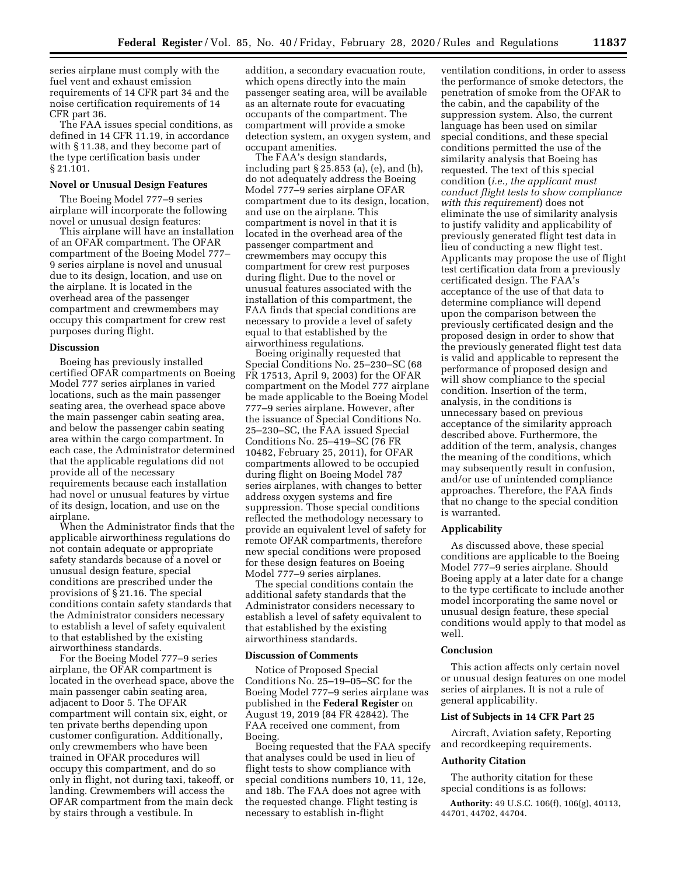series airplane must comply with the fuel vent and exhaust emission requirements of 14 CFR part 34 and the noise certification requirements of 14 CFR part 36.

The FAA issues special conditions, as defined in 14 CFR 11.19, in accordance with § 11.38, and they become part of the type certification basis under § 21.101.

### **Novel or Unusual Design Features**

The Boeing Model 777–9 series airplane will incorporate the following novel or unusual design features:

This airplane will have an installation of an OFAR compartment. The OFAR compartment of the Boeing Model 777– 9 series airplane is novel and unusual due to its design, location, and use on the airplane. It is located in the overhead area of the passenger compartment and crewmembers may occupy this compartment for crew rest purposes during flight.

## **Discussion**

Boeing has previously installed certified OFAR compartments on Boeing Model 777 series airplanes in varied locations, such as the main passenger seating area, the overhead space above the main passenger cabin seating area, and below the passenger cabin seating area within the cargo compartment. In each case, the Administrator determined that the applicable regulations did not provide all of the necessary requirements because each installation had novel or unusual features by virtue of its design, location, and use on the airplane.

When the Administrator finds that the applicable airworthiness regulations do not contain adequate or appropriate safety standards because of a novel or unusual design feature, special conditions are prescribed under the provisions of § 21.16. The special conditions contain safety standards that the Administrator considers necessary to establish a level of safety equivalent to that established by the existing airworthiness standards.

For the Boeing Model 777–9 series airplane, the OFAR compartment is located in the overhead space, above the main passenger cabin seating area, adjacent to Door 5. The OFAR compartment will contain six, eight, or ten private berths depending upon customer configuration. Additionally, only crewmembers who have been trained in OFAR procedures will occupy this compartment, and do so only in flight, not during taxi, takeoff, or landing. Crewmembers will access the OFAR compartment from the main deck by stairs through a vestibule. In

addition, a secondary evacuation route, which opens directly into the main passenger seating area, will be available as an alternate route for evacuating occupants of the compartment. The compartment will provide a smoke detection system, an oxygen system, and occupant amenities.

The FAA's design standards, including part § 25.853 (a), (e), and (h), do not adequately address the Boeing Model 777–9 series airplane OFAR compartment due to its design, location, and use on the airplane. This compartment is novel in that it is located in the overhead area of the passenger compartment and crewmembers may occupy this compartment for crew rest purposes during flight. Due to the novel or unusual features associated with the installation of this compartment, the FAA finds that special conditions are necessary to provide a level of safety equal to that established by the airworthiness regulations.

Boeing originally requested that Special Conditions No. 25–230–SC (68 FR 17513, April 9, 2003) for the OFAR compartment on the Model 777 airplane be made applicable to the Boeing Model 777–9 series airplane. However, after the issuance of Special Conditions No. 25–230–SC, the FAA issued Special Conditions No. 25–419–SC (76 FR 10482, February 25, 2011), for OFAR compartments allowed to be occupied during flight on Boeing Model 787 series airplanes, with changes to better address oxygen systems and fire suppression. Those special conditions reflected the methodology necessary to provide an equivalent level of safety for remote OFAR compartments, therefore new special conditions were proposed for these design features on Boeing Model 777–9 series airplanes.

The special conditions contain the additional safety standards that the Administrator considers necessary to establish a level of safety equivalent to that established by the existing airworthiness standards.

#### **Discussion of Comments**

Notice of Proposed Special Conditions No. 25–19–05–SC for the Boeing Model 777–9 series airplane was published in the **Federal Register** on August 19, 2019 (84 FR 42842). The FAA received one comment, from Boeing.

Boeing requested that the FAA specify that analyses could be used in lieu of flight tests to show compliance with special conditions numbers 10, 11, 12e, and 18b. The FAA does not agree with the requested change. Flight testing is necessary to establish in-flight

ventilation conditions, in order to assess the performance of smoke detectors, the penetration of smoke from the OFAR to the cabin, and the capability of the suppression system. Also, the current language has been used on similar special conditions, and these special conditions permitted the use of the similarity analysis that Boeing has requested. The text of this special condition (*i.e., the applicant must conduct flight tests to show compliance with this requirement*) does not eliminate the use of similarity analysis to justify validity and applicability of previously generated flight test data in lieu of conducting a new flight test. Applicants may propose the use of flight test certification data from a previously certificated design. The FAA's acceptance of the use of that data to determine compliance will depend upon the comparison between the previously certificated design and the proposed design in order to show that the previously generated flight test data is valid and applicable to represent the performance of proposed design and will show compliance to the special condition. Insertion of the term, analysis, in the conditions is unnecessary based on previous acceptance of the similarity approach described above. Furthermore, the addition of the term, analysis, changes the meaning of the conditions, which may subsequently result in confusion, and/or use of unintended compliance approaches. Therefore, the FAA finds that no change to the special condition is warranted.

## **Applicability**

As discussed above, these special conditions are applicable to the Boeing Model 777–9 series airplane. Should Boeing apply at a later date for a change to the type certificate to include another model incorporating the same novel or unusual design feature, these special conditions would apply to that model as well.

## **Conclusion**

This action affects only certain novel or unusual design features on one model series of airplanes. It is not a rule of general applicability.

## **List of Subjects in 14 CFR Part 25**

Aircraft, Aviation safety, Reporting and recordkeeping requirements.

## **Authority Citation**

The authority citation for these special conditions is as follows:

**Authority:** 49 U.S.C. 106(f), 106(g), 40113, 44701, 44702, 44704.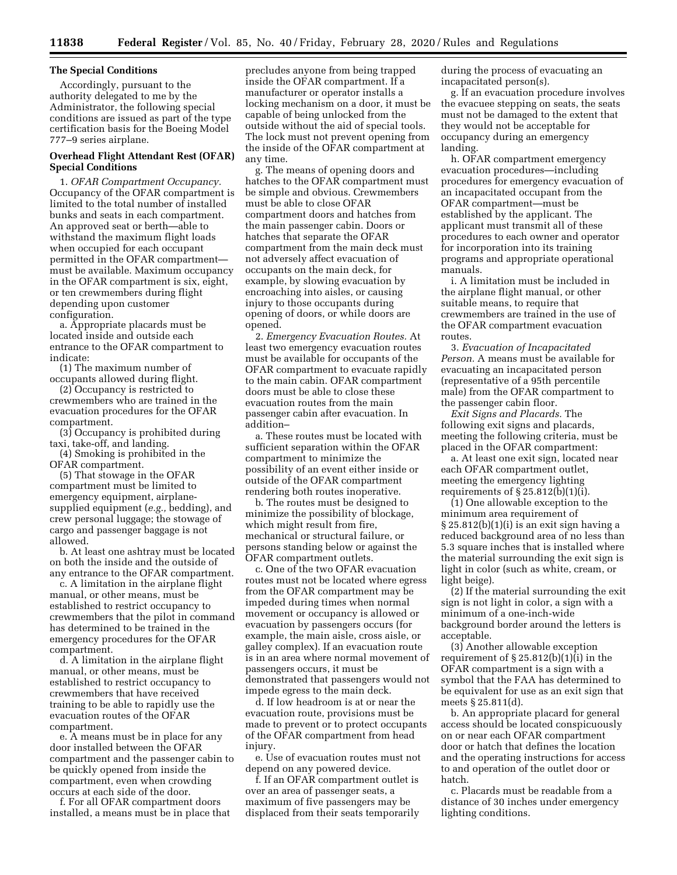## **The Special Conditions**

Accordingly, pursuant to the authority delegated to me by the Administrator, the following special conditions are issued as part of the type certification basis for the Boeing Model 777–9 series airplane.

## **Overhead Flight Attendant Rest (OFAR) Special Conditions**

1. *OFAR Compartment Occupancy.*  Occupancy of the OFAR compartment is limited to the total number of installed bunks and seats in each compartment. An approved seat or berth—able to withstand the maximum flight loads when occupied for each occupant permitted in the OFAR compartment must be available. Maximum occupancy in the OFAR compartment is six, eight, or ten crewmembers during flight depending upon customer configuration.

a. Appropriate placards must be located inside and outside each entrance to the OFAR compartment to indicate:

(1) The maximum number of occupants allowed during flight.

(2) Occupancy is restricted to crewmembers who are trained in the evacuation procedures for the OFAR compartment.

(3) Occupancy is prohibited during taxi, take-off, and landing.

(4) Smoking is prohibited in the OFAR compartment.

(5) That stowage in the OFAR compartment must be limited to emergency equipment, airplanesupplied equipment (*e.g.,* bedding), and crew personal luggage; the stowage of cargo and passenger baggage is not allowed.

b. At least one ashtray must be located on both the inside and the outside of any entrance to the OFAR compartment.

c. A limitation in the airplane flight manual, or other means, must be established to restrict occupancy to crewmembers that the pilot in command has determined to be trained in the emergency procedures for the OFAR compartment.

d. A limitation in the airplane flight manual, or other means, must be established to restrict occupancy to crewmembers that have received training to be able to rapidly use the evacuation routes of the OFAR compartment.

e. A means must be in place for any door installed between the OFAR compartment and the passenger cabin to be quickly opened from inside the compartment, even when crowding occurs at each side of the door.

f. For all OFAR compartment doors installed, a means must be in place that

precludes anyone from being trapped inside the OFAR compartment. If a manufacturer or operator installs a locking mechanism on a door, it must be capable of being unlocked from the outside without the aid of special tools. The lock must not prevent opening from the inside of the OFAR compartment at any time.

g. The means of opening doors and hatches to the OFAR compartment must be simple and obvious. Crewmembers must be able to close OFAR compartment doors and hatches from the main passenger cabin. Doors or hatches that separate the OFAR compartment from the main deck must not adversely affect evacuation of occupants on the main deck, for example, by slowing evacuation by encroaching into aisles, or causing injury to those occupants during opening of doors, or while doors are opened.

2. *Emergency Evacuation Routes.* At least two emergency evacuation routes must be available for occupants of the OFAR compartment to evacuate rapidly to the main cabin. OFAR compartment doors must be able to close these evacuation routes from the main passenger cabin after evacuation. In addition–

a. These routes must be located with sufficient separation within the OFAR compartment to minimize the possibility of an event either inside or outside of the OFAR compartment rendering both routes inoperative.

b. The routes must be designed to minimize the possibility of blockage, which might result from fire, mechanical or structural failure, or persons standing below or against the OFAR compartment outlets.

c. One of the two OFAR evacuation routes must not be located where egress from the OFAR compartment may be impeded during times when normal movement or occupancy is allowed or evacuation by passengers occurs (for example, the main aisle, cross aisle, or galley complex). If an evacuation route is in an area where normal movement of passengers occurs, it must be demonstrated that passengers would not impede egress to the main deck.

d. If low headroom is at or near the evacuation route, provisions must be made to prevent or to protect occupants of the OFAR compartment from head injury.

e. Use of evacuation routes must not depend on any powered device.

f. If an OFAR compartment outlet is over an area of passenger seats, a maximum of five passengers may be displaced from their seats temporarily during the process of evacuating an incapacitated person(s).

g. If an evacuation procedure involves the evacuee stepping on seats, the seats must not be damaged to the extent that they would not be acceptable for occupancy during an emergency landing.

h. OFAR compartment emergency evacuation procedures—including procedures for emergency evacuation of an incapacitated occupant from the OFAR compartment—must be established by the applicant. The applicant must transmit all of these procedures to each owner and operator for incorporation into its training programs and appropriate operational manuals.

i. A limitation must be included in the airplane flight manual, or other suitable means, to require that crewmembers are trained in the use of the OFAR compartment evacuation routes.

3. *Evacuation of Incapacitated Person.* A means must be available for evacuating an incapacitated person (representative of a 95th percentile male) from the OFAR compartment to the passenger cabin floor.

*Exit Signs and Placards.* The following exit signs and placards, meeting the following criteria, must be placed in the OFAR compartment:

a. At least one exit sign, located near each OFAR compartment outlet, meeting the emergency lighting requirements of  $\S 25.812(b)(1)(i)$ .

(1) One allowable exception to the minimum area requirement of § 25.812(b)(1)(i) is an exit sign having a reduced background area of no less than 5.3 square inches that is installed where the material surrounding the exit sign is light in color (such as white, cream, or light beige).

(2) If the material surrounding the exit sign is not light in color, a sign with a minimum of a one-inch-wide background border around the letters is acceptable.

(3) Another allowable exception requirement of  $\S 25.812(b)(1)(i)$  in the OFAR compartment is a sign with a symbol that the FAA has determined to be equivalent for use as an exit sign that meets § 25.811(d).

b. An appropriate placard for general access should be located conspicuously on or near each OFAR compartment door or hatch that defines the location and the operating instructions for access to and operation of the outlet door or hatch.

c. Placards must be readable from a distance of 30 inches under emergency lighting conditions.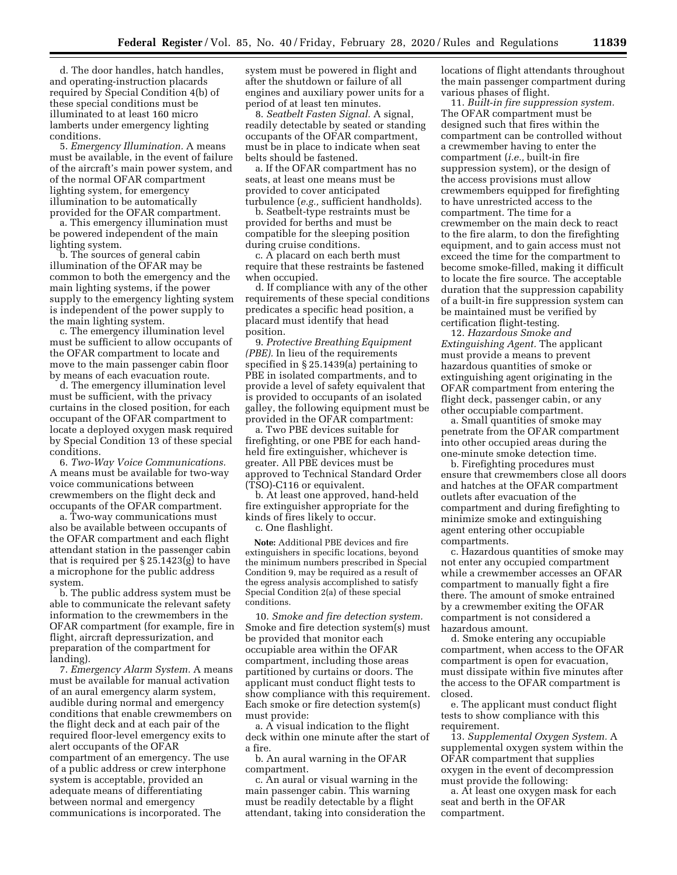d. The door handles, hatch handles, and operating-instruction placards required by Special Condition 4(b) of these special conditions must be illuminated to at least 160 micro lamberts under emergency lighting conditions.

5. *Emergency Illumination.* A means must be available, in the event of failure of the aircraft's main power system, and of the normal OFAR compartment lighting system, for emergency illumination to be automatically provided for the OFAR compartment.

a. This emergency illumination must be powered independent of the main lighting system.

b. The sources of general cabin illumination of the OFAR may be common to both the emergency and the main lighting systems, if the power supply to the emergency lighting system is independent of the power supply to the main lighting system.

c. The emergency illumination level must be sufficient to allow occupants of the OFAR compartment to locate and move to the main passenger cabin floor by means of each evacuation route.

d. The emergency illumination level must be sufficient, with the privacy curtains in the closed position, for each occupant of the OFAR compartment to locate a deployed oxygen mask required by Special Condition 13 of these special conditions.

6. *Two-Way Voice Communications.*  A means must be available for two-way voice communications between crewmembers on the flight deck and occupants of the OFAR compartment.

a. Two-way communications must also be available between occupants of the OFAR compartment and each flight attendant station in the passenger cabin that is required per § 25.1423(g) to have a microphone for the public address system.

b. The public address system must be able to communicate the relevant safety information to the crewmembers in the OFAR compartment (for example, fire in flight, aircraft depressurization, and preparation of the compartment for landing).

7. *Emergency Alarm System.* A means must be available for manual activation of an aural emergency alarm system, audible during normal and emergency conditions that enable crewmembers on the flight deck and at each pair of the required floor-level emergency exits to alert occupants of the OFAR compartment of an emergency. The use of a public address or crew interphone system is acceptable, provided an adequate means of differentiating between normal and emergency communications is incorporated. The

system must be powered in flight and after the shutdown or failure of all engines and auxiliary power units for a period of at least ten minutes.

8. *Seatbelt Fasten Signal.* A signal, readily detectable by seated or standing occupants of the OFAR compartment, must be in place to indicate when seat belts should be fastened.

a. If the OFAR compartment has no seats, at least one means must be provided to cover anticipated turbulence (*e.g.,* sufficient handholds).

b. Seatbelt-type restraints must be provided for berths and must be compatible for the sleeping position during cruise conditions.

c. A placard on each berth must require that these restraints be fastened when occupied.

d. If compliance with any of the other requirements of these special conditions predicates a specific head position, a placard must identify that head position.

9. *Protective Breathing Equipment (PBE).* In lieu of the requirements specified in § 25.1439(a) pertaining to PBE in isolated compartments, and to provide a level of safety equivalent that is provided to occupants of an isolated galley, the following equipment must be provided in the OFAR compartment:

a. Two PBE devices suitable for firefighting, or one PBE for each handheld fire extinguisher, whichever is greater. All PBE devices must be approved to Technical Standard Order (TSO)-C116 or equivalent.

b. At least one approved, hand-held fire extinguisher appropriate for the kinds of fires likely to occur.

c. One flashlight.

**Note:** Additional PBE devices and fire extinguishers in specific locations, beyond the minimum numbers prescribed in Special Condition 9, may be required as a result of the egress analysis accomplished to satisfy Special Condition 2(a) of these special conditions.

10. *Smoke and fire detection system.*  Smoke and fire detection system(s) must be provided that monitor each occupiable area within the OFAR compartment, including those areas partitioned by curtains or doors. The applicant must conduct flight tests to show compliance with this requirement. Each smoke or fire detection system(s) must provide:

a. A visual indication to the flight deck within one minute after the start of a fire.

b. An aural warning in the OFAR compartment.

c. An aural or visual warning in the main passenger cabin. This warning must be readily detectable by a flight attendant, taking into consideration the locations of flight attendants throughout the main passenger compartment during various phases of flight.

11. *Built-in fire suppression system.*  The OFAR compartment must be designed such that fires within the compartment can be controlled without a crewmember having to enter the compartment (*i.e.,* built-in fire suppression system), or the design of the access provisions must allow crewmembers equipped for firefighting to have unrestricted access to the compartment. The time for a crewmember on the main deck to react to the fire alarm, to don the firefighting equipment, and to gain access must not exceed the time for the compartment to become smoke-filled, making it difficult to locate the fire source. The acceptable duration that the suppression capability of a built-in fire suppression system can be maintained must be verified by certification flight-testing.

12. *Hazardous Smoke and Extinguishing Agent.* The applicant must provide a means to prevent hazardous quantities of smoke or extinguishing agent originating in the OFAR compartment from entering the flight deck, passenger cabin, or any other occupiable compartment.

a. Small quantities of smoke may penetrate from the OFAR compartment into other occupied areas during the one-minute smoke detection time.

b. Firefighting procedures must ensure that crewmembers close all doors and hatches at the OFAR compartment outlets after evacuation of the compartment and during firefighting to minimize smoke and extinguishing agent entering other occupiable compartments.

c. Hazardous quantities of smoke may not enter any occupied compartment while a crewmember accesses an OFAR compartment to manually fight a fire there. The amount of smoke entrained by a crewmember exiting the OFAR compartment is not considered a hazardous amount.

d. Smoke entering any occupiable compartment, when access to the OFAR compartment is open for evacuation, must dissipate within five minutes after the access to the OFAR compartment is closed.

e. The applicant must conduct flight tests to show compliance with this requirement.

13. *Supplemental Oxygen System.* A supplemental oxygen system within the OFAR compartment that supplies oxygen in the event of decompression must provide the following:

a. At least one oxygen mask for each seat and berth in the OFAR compartment.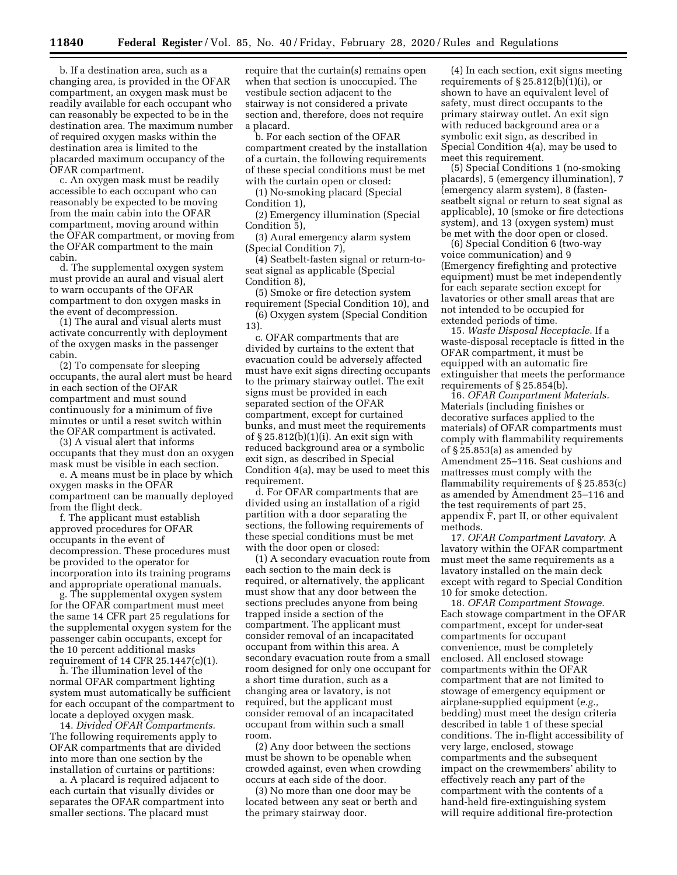b. If a destination area, such as a changing area, is provided in the OFAR compartment, an oxygen mask must be readily available for each occupant who can reasonably be expected to be in the destination area. The maximum number of required oxygen masks within the destination area is limited to the placarded maximum occupancy of the OFAR compartment.

c. An oxygen mask must be readily accessible to each occupant who can reasonably be expected to be moving from the main cabin into the OFAR compartment, moving around within the OFAR compartment, or moving from the OFAR compartment to the main cabin.

d. The supplemental oxygen system must provide an aural and visual alert to warn occupants of the OFAR compartment to don oxygen masks in the event of decompression.

(1) The aural and visual alerts must activate concurrently with deployment of the oxygen masks in the passenger cabin.

(2) To compensate for sleeping occupants, the aural alert must be heard in each section of the OFAR compartment and must sound continuously for a minimum of five minutes or until a reset switch within the OFAR compartment is activated.

(3) A visual alert that informs occupants that they must don an oxygen mask must be visible in each section.

e. A means must be in place by which oxygen masks in the OFAR compartment can be manually deployed from the flight deck.

f. The applicant must establish approved procedures for OFAR occupants in the event of decompression. These procedures must be provided to the operator for incorporation into its training programs and appropriate operational manuals.

g. The supplemental oxygen system for the OFAR compartment must meet the same 14 CFR part 25 regulations for the supplemental oxygen system for the passenger cabin occupants, except for the 10 percent additional masks requirement of 14 CFR 25.1447(c)(1).

h. The illumination level of the normal OFAR compartment lighting system must automatically be sufficient for each occupant of the compartment to locate a deployed oxygen mask.

14. *Divided OFAR Compartments.*  The following requirements apply to OFAR compartments that are divided into more than one section by the installation of curtains or partitions:

a. A placard is required adjacent to each curtain that visually divides or separates the OFAR compartment into smaller sections. The placard must

require that the curtain(s) remains open when that section is unoccupied. The vestibule section adjacent to the stairway is not considered a private section and, therefore, does not require a placard.

b. For each section of the OFAR compartment created by the installation of a curtain, the following requirements of these special conditions must be met with the curtain open or closed:

(1) No-smoking placard (Special Condition 1),

(2) Emergency illumination (Special Condition 5),

(3) Aural emergency alarm system (Special Condition 7),

(4) Seatbelt-fasten signal or return-toseat signal as applicable (Special Condition 8),

(5) Smoke or fire detection system requirement (Special Condition 10), and (6) Oxygen system (Special Condition

13). c. OFAR compartments that are divided by curtains to the extent that

evacuation could be adversely affected must have exit signs directing occupants to the primary stairway outlet. The exit signs must be provided in each separated section of the OFAR compartment, except for curtained bunks, and must meet the requirements of § 25.812(b)(1)(i). An exit sign with reduced background area or a symbolic exit sign, as described in Special Condition 4(a), may be used to meet this requirement.

d. For OFAR compartments that are divided using an installation of a rigid partition with a door separating the sections, the following requirements of these special conditions must be met with the door open or closed:

(1) A secondary evacuation route from each section to the main deck is required, or alternatively, the applicant must show that any door between the sections precludes anyone from being trapped inside a section of the compartment. The applicant must consider removal of an incapacitated occupant from within this area. A secondary evacuation route from a small room designed for only one occupant for a short time duration, such as a changing area or lavatory, is not required, but the applicant must consider removal of an incapacitated occupant from within such a small room.

(2) Any door between the sections must be shown to be openable when crowded against, even when crowding occurs at each side of the door.

(3) No more than one door may be located between any seat or berth and the primary stairway door.

(4) In each section, exit signs meeting requirements of § 25.812(b)(1)(i), or shown to have an equivalent level of safety, must direct occupants to the primary stairway outlet. An exit sign with reduced background area or a symbolic exit sign, as described in Special Condition 4(a), may be used to meet this requirement.

(5) Special Conditions 1 (no-smoking placards), 5 (emergency illumination), 7 (emergency alarm system), 8 (fastenseatbelt signal or return to seat signal as applicable), 10 (smoke or fire detections system), and 13 (oxygen system) must be met with the door open or closed.

(6) Special Condition 6 (two-way voice communication) and 9 (Emergency firefighting and protective equipment) must be met independently for each separate section except for lavatories or other small areas that are not intended to be occupied for extended periods of time.

15. *Waste Disposal Receptacle.* If a waste-disposal receptacle is fitted in the OFAR compartment, it must be equipped with an automatic fire extinguisher that meets the performance requirements of § 25.854(b).

16. *OFAR Compartment Materials.*  Materials (including finishes or decorative surfaces applied to the materials) of OFAR compartments must comply with flammability requirements of § 25.853(a) as amended by Amendment 25–116. Seat cushions and mattresses must comply with the flammability requirements of § 25.853(c) as amended by Amendment 25–116 and the test requirements of part 25, appendix F, part II, or other equivalent methods.

17. *OFAR Compartment Lavatory.* A lavatory within the OFAR compartment must meet the same requirements as a lavatory installed on the main deck except with regard to Special Condition 10 for smoke detection.

18. *OFAR Compartment Stowage.*  Each stowage compartment in the OFAR compartment, except for under-seat compartments for occupant convenience, must be completely enclosed. All enclosed stowage compartments within the OFAR compartment that are not limited to stowage of emergency equipment or airplane-supplied equipment (*e.g.,*  bedding) must meet the design criteria described in table 1 of these special conditions. The in-flight accessibility of very large, enclosed, stowage compartments and the subsequent impact on the crewmembers' ability to effectively reach any part of the compartment with the contents of a hand-held fire-extinguishing system will require additional fire-protection